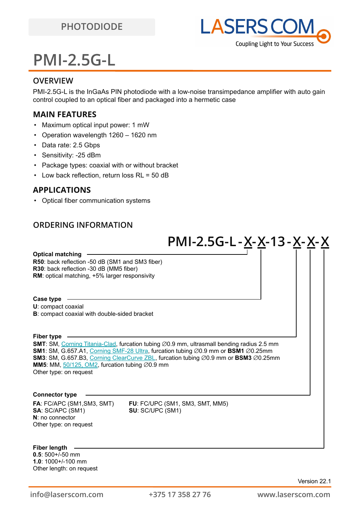

# **PMI-2.5G-L**

#### **OVERVIEW**

PMI-2.5G-L is the InGaAs PIN photodiode with a low-noise transimpedance amplifier with auto gain control coupled to an optical fiber and packaged into a hermetic case

### **MAIN FEATURES**

- Maximum optical input power: 1 mW
- Operation wavelength 1260 1620 nm
- Data rate: 2.5 Gbps
- Sensitivity: -25 dBm
- Package types: coaxial with or without bracket
- Low back reflection, return loss RL = 50 dB

### **APPLICATIONS**

• Optical fiber communication systems

### **ORDERING INFORMATION**

**FA**: FC/APC (SM1,SM3, SMT) **FU**: FC/UPC (SM1, SM3, SMT, MM5) **SA**: SC/APC (SM1) **SU**: SC/UPC (SM1) **N**: no connector Other type: on request **Connector type SMT**: SM, [Corning Titania-Clad](https://drive.google.com/file/d/1TO0m3OXi7mFR9VPvdg1AdosSirg8iwtN/view?usp=sharing), furcation tubing ∅0.9 mm, ultrasmall bending radius 2.5 mm **SM1**: SM, G.657.A1, [Corning SMF-28 Ultra](https://drive.google.com/file/d/1JeMdVLHUIGFdzKdBnzaeOmjsa81S284f/view?usp=sharing), furcation tubing ⌀0.9 mm or **BSM1** ⌀0.25mm **SM3**: SM, G.657.B3, [Corning ClearCurve ZBL](https://drive.google.com/file/d/1BnScs4F0ApGayHF4MQJvm8phLaEPHUV0/view?usp=sharing), furcation tubing ∅0.9 mm or **BSM3** ∅0.25mm **MM5**: MM,  $\frac{50}{125}$ , OM2, furcation tubing  $\varnothing$ 0.9 mm Other type: on request **Fiber type U**: compact coaxial **B**: compact coaxial with double-sided bracket **Case type R50**: back reflection -50 dB (SM1 and SM3 fiber) **R30**: back reflection -30 dB (MM5 fiber) **RM**: optical matching, +5% larger responsivity **Optical matching PMI-2.5G-L -X-X-13-X-X-X Fiber length**

**0.5**: 500+/-50 mm **1.0**: 1000+/-100 mm Other length: on request

Version 22.1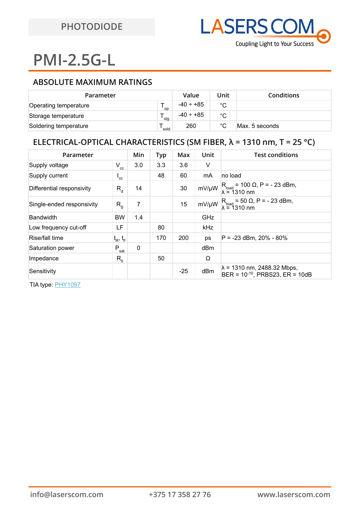# **PMI-2.5G-L**

## **ABSOLUTE MAXIMUM RATINGS**

| Parameter             |           | Value          | Unit        | <b>Conditions</b> |
|-----------------------|-----------|----------------|-------------|-------------------|
| Operating temperature | <b>OD</b> | $-40 \div +85$ | $^{\circ}C$ |                   |
| Storage temperature   | sta       | $-40 \div +85$ | °C          |                   |
| Soldering temperature | sold      | 260            | °C          | Max. 5 seconds    |

### **ELECTRICAL-OPTICAL CHARACTERISTICS (SM FIBER, λ = 1310 nm, T = 25 °C)**

| Parameter                 |                          | Min | Typ | Max   | Unit       | <b>Test conditions</b>                                                     |
|---------------------------|--------------------------|-----|-----|-------|------------|----------------------------------------------------------------------------|
| Supply voltage            | $V_{cc}$                 | 3.0 | 3.3 | 3.6   | V          |                                                                            |
| Supply current            | $\mathsf{I}_{\text{cc}}$ |     | 48  | 60    | mA         | no load                                                                    |
| Differential responsivity | $R_{d}$                  | 14  |     | 30    | mV/µW      | $R_{load}$ = 100 $\Omega$ , P = - 23 dBm,<br>$\lambda = 1310$ nm           |
| Single-ended responsivity | $R_{\rm s}$              | 7   |     | 15    | mV/µW      | $R_{load} = 50 \Omega$ , P = - 23 dBm,<br>$\lambda = 1310$ nm              |
| <b>Bandwidth</b>          | <b>BW</b>                | 1.4 |     |       | GHz        |                                                                            |
| Low frequency cut-off     | LF                       |     | 80  |       | <b>kHz</b> |                                                                            |
| Rise/fall time            | $t_R$ , $t_F$            |     | 170 | 200   | ps         | $P = -23$ dBm, 20% - 80%                                                   |
| Saturation power          | $P_{sat}$                | 0   |     |       | dBm        |                                                                            |
| Impedance                 | $R_{0}$                  |     | 50  |       | Ω          |                                                                            |
| Sensitivity               |                          |     |     | $-25$ | dBm        | $\lambda$ = 1310 nm, 2488.32 Mbps,<br>$BER = 10^{-10}$ , PRBS23, ER = 10dB |

TIA type: [PHY1097](https://www.maximintegrated.com/en/products/comms/optical-communications/PHY1097.html)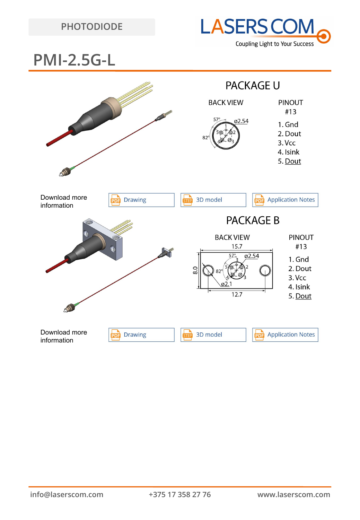## **PHOTODIODE**



## **PMI-2.5G-L**